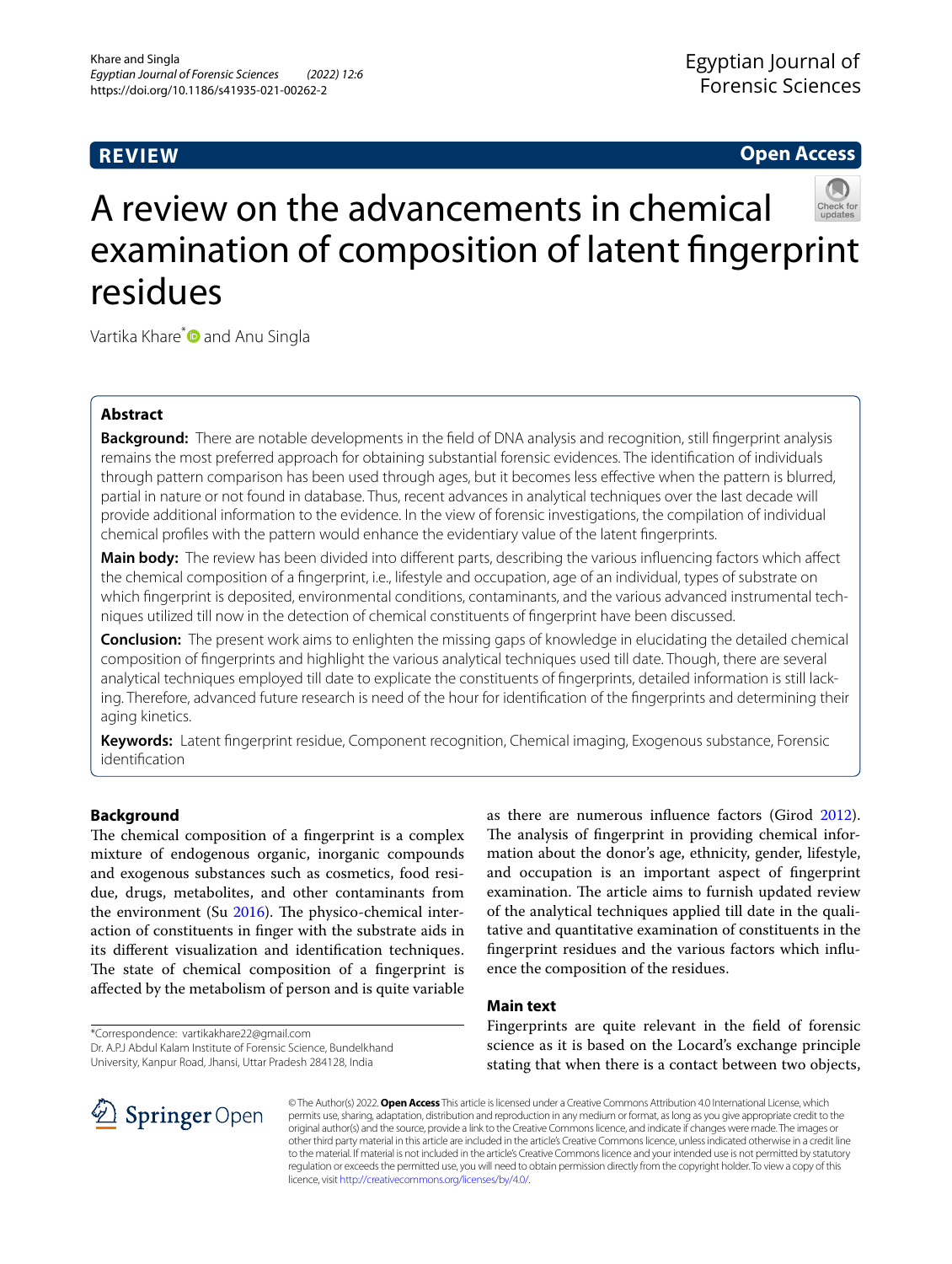# **REVIEW**

## **Open Access**



# A review on the advancements in chemical examination of composition of latent fngerprint residues

Vartika Khare<sup>[\\*](http://orcid.org/0000-0002-5422-7484)</sup> and Anu Singla

## **Abstract**

**Background:** There are notable developments in the feld of DNA analysis and recognition, still fngerprint analysis remains the most preferred approach for obtaining substantial forensic evidences. The identifcation of individuals through pattern comparison has been used through ages, but it becomes less efective when the pattern is blurred, partial in nature or not found in database. Thus, recent advances in analytical techniques over the last decade will provide additional information to the evidence. In the view of forensic investigations, the compilation of individual chemical profles with the pattern would enhance the evidentiary value of the latent fngerprints.

Main body: The review has been divided into different parts, describing the various influencing factors which affect the chemical composition of a fngerprint, i.e., lifestyle and occupation, age of an individual, types of substrate on which fngerprint is deposited, environmental conditions, contaminants, and the various advanced instrumental techniques utilized till now in the detection of chemical constituents of fngerprint have been discussed.

**Conclusion:** The present work aims to enlighten the missing gaps of knowledge in elucidating the detailed chemical composition of fngerprints and highlight the various analytical techniques used till date. Though, there are several analytical techniques employed till date to explicate the constituents of fngerprints, detailed information is still lacking. Therefore, advanced future research is need of the hour for identifcation of the fngerprints and determining their aging kinetics.

**Keywords:** Latent fngerprint residue, Component recognition, Chemical imaging, Exogenous substance, Forensic identifcation

## **Background**

The chemical composition of a fingerprint is a complex mixture of endogenous organic, inorganic compounds and exogenous substances such as cosmetics, food residue, drugs, metabolites, and other contaminants from the environment (Su  $2016$ ). The physico-chemical interaction of constituents in fnger with the substrate aids in its diferent visualization and identifcation techniques. The state of chemical composition of a fingerprint is afected by the metabolism of person and is quite variable

\*Correspondence: vartikakhare22@gmail.com

Dr. A.P.J Abdul Kalam Institute of Forensic Science, Bundelkhand University, Kanpur Road, Jhansi, Uttar Pradesh 284128, India

as there are numerous infuence factors (Girod [2012](#page-7-0)). The analysis of fingerprint in providing chemical information about the donor's age, ethnicity, gender, lifestyle, and occupation is an important aspect of fngerprint examination. The article aims to furnish updated review of the analytical techniques applied till date in the qualitative and quantitative examination of constituents in the fngerprint residues and the various factors which infuence the composition of the residues.

#### **Main text**

Fingerprints are quite relevant in the feld of forensic science as it is based on the Locard's exchange principle stating that when there is a contact between two objects,

© The Author(s) 2022. **Open Access** This article is licensed under a Creative Commons Attribution 4.0 International License, which permits use, sharing, adaptation, distribution and reproduction in any medium or format, as long as you give appropriate credit to the original author(s) and the source, provide a link to the Creative Commons licence, and indicate if changes were made. The images or other third party material in this article are included in the article's Creative Commons licence, unless indicated otherwise in a credit line to the material. If material is not included in the article's Creative Commons licence and your intended use is not permitted by statutory regulation or exceeds the permitted use, you will need to obtain permission directly from the copyright holder. To view a copy of this licence, visit [http://creativecommons.org/licenses/by/4.0/.](http://creativecommons.org/licenses/by/4.0/)

SpringerOpen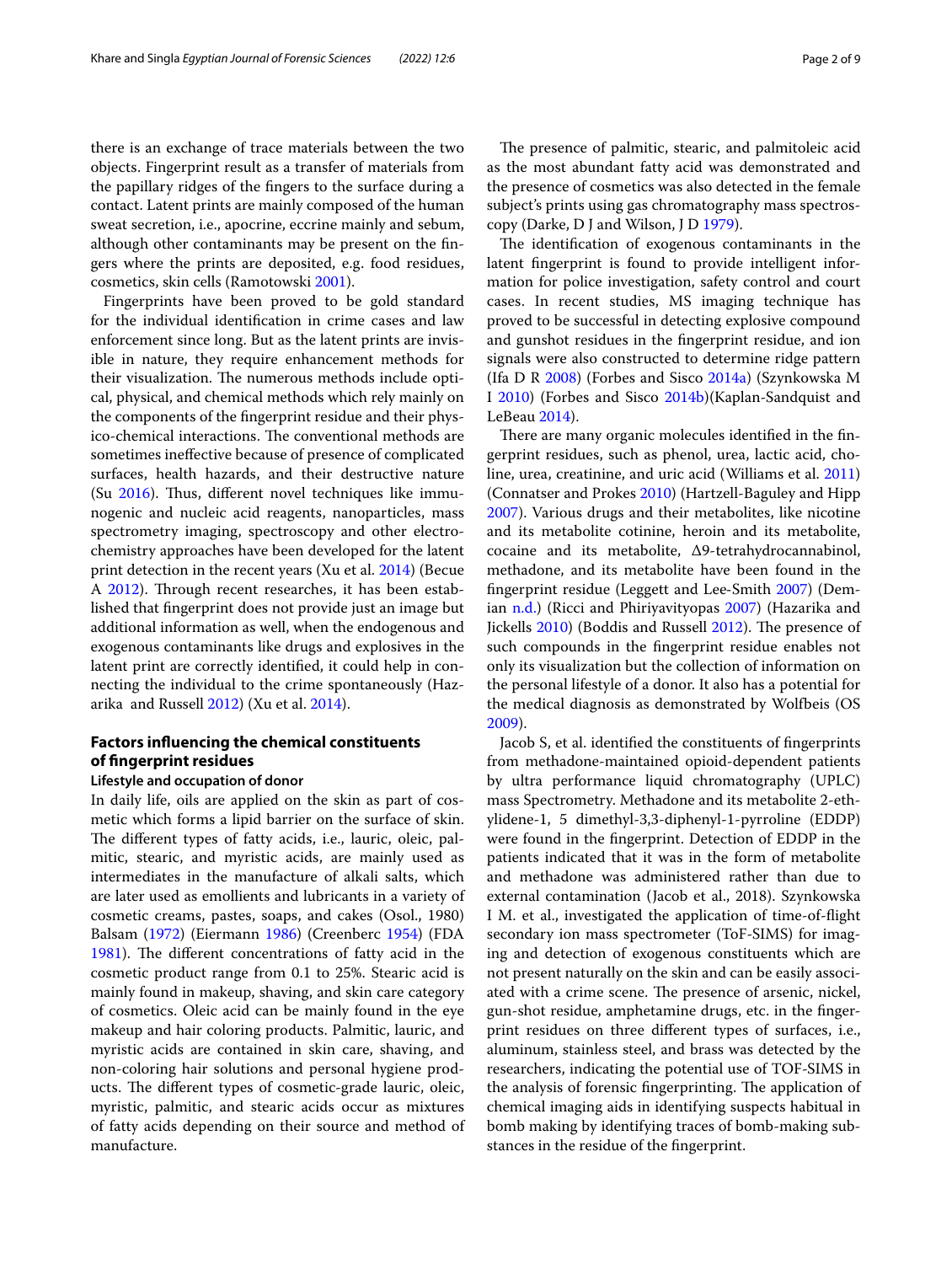there is an exchange of trace materials between the two objects. Fingerprint result as a transfer of materials from the papillary ridges of the fngers to the surface during a contact. Latent prints are mainly composed of the human sweat secretion, i.e., apocrine, eccrine mainly and sebum, although other contaminants may be present on the fngers where the prints are deposited, e.g. food residues, cosmetics, skin cells (Ramotowski [2001\)](#page-8-1).

Fingerprints have been proved to be gold standard for the individual identifcation in crime cases and law enforcement since long. But as the latent prints are invisible in nature, they require enhancement methods for their visualization. The numerous methods include optical, physical, and chemical methods which rely mainly on the components of the fngerprint residue and their physico-chemical interactions. The conventional methods are sometimes inefective because of presence of complicated surfaces, health hazards, and their destructive nature (Su  $2016$ ). Thus, different novel techniques like immunogenic and nucleic acid reagents, nanoparticles, mass spectrometry imaging, spectroscopy and other electrochemistry approaches have been developed for the latent print detection in the recent years (Xu et al. [2014\)](#page-8-2) (Becue A [2012](#page-7-1)). Through recent researches, it has been established that fngerprint does not provide just an image but additional information as well, when the endogenous and exogenous contaminants like drugs and explosives in the latent print are correctly identifed, it could help in connecting the individual to the crime spontaneously (Hazarika and Russell [2012\)](#page-7-2) (Xu et al. [2014\)](#page-8-2).

## **Factors infuencing the chemical constituents of fngerprint residues**

#### **Lifestyle and occupation of donor**

In daily life, oils are applied on the skin as part of cosmetic which forms a lipid barrier on the surface of skin. The different types of fatty acids, i.e., lauric, oleic, palmitic, stearic, and myristic acids, are mainly used as intermediates in the manufacture of alkali salts, which are later used as emollients and lubricants in a variety of cosmetic creams, pastes, soaps, and cakes (Osol., 1980) Balsam ([1972\)](#page-7-3) (Eiermann [1986\)](#page-7-4) (Creenberc [1954](#page-7-5)) (FDA [1981](#page-7-6)). The different concentrations of fatty acid in the cosmetic product range from 0.1 to 25%. Stearic acid is mainly found in makeup, shaving, and skin care category of cosmetics. Oleic acid can be mainly found in the eye makeup and hair coloring products. Palmitic, lauric, and myristic acids are contained in skin care, shaving, and non-coloring hair solutions and personal hygiene products. The different types of cosmetic-grade lauric, oleic, myristic, palmitic, and stearic acids occur as mixtures of fatty acids depending on their source and method of manufacture.

The presence of palmitic, stearic, and palmitoleic acid as the most abundant fatty acid was demonstrated and the presence of cosmetics was also detected in the female subject's prints using gas chromatography mass spectroscopy (Darke, D J and Wilson, J D [1979\)](#page-7-7).

The identification of exogenous contaminants in the latent fngerprint is found to provide intelligent information for police investigation, safety control and court cases. In recent studies, MS imaging technique has proved to be successful in detecting explosive compound and gunshot residues in the fngerprint residue, and ion signals were also constructed to determine ridge pattern (Ifa D R [2008\)](#page-7-8) (Forbes and Sisco [2014a](#page-7-9)) (Szynkowska M I [2010](#page-8-3)) (Forbes and Sisco [2014b\)](#page-7-10)(Kaplan-Sandquist and LeBeau [2014](#page-7-11)).

There are many organic molecules identified in the fingerprint residues, such as phenol, urea, lactic acid, choline, urea, creatinine, and uric acid (Williams et al. [2011](#page-8-4)) (Connatser and Prokes [2010](#page-7-12)) (Hartzell-Baguley and Hipp [2007](#page-7-13)). Various drugs and their metabolites, like nicotine and its metabolite cotinine, heroin and its metabolite, cocaine and its metabolite, Δ9-tetrahydrocannabinol, methadone, and its metabolite have been found in the fngerprint residue (Leggett and Lee‐Smith [2007](#page-7-14)) (Demian [n.d.\)](#page-7-15) (Ricci and Phiriyavityopas [2007](#page-8-5)) (Hazarika and Jickells [2010](#page-7-16)) (Boddis and Russell [2012](#page-7-17)). The presence of such compounds in the fngerprint residue enables not only its visualization but the collection of information on the personal lifestyle of a donor. It also has a potential for the medical diagnosis as demonstrated by Wolfbeis (OS [2009](#page-8-6)).

Jacob S, et al. identifed the constituents of fngerprints from methadone-maintained opioid-dependent patients by ultra performance liquid chromatography (UPLC) mass Spectrometry. Methadone and its metabolite 2-ethylidene-1, 5 dimethyl-3,3-diphenyl-1-pyrroline (EDDP) were found in the fngerprint. Detection of EDDP in the patients indicated that it was in the form of metabolite and methadone was administered rather than due to external contamination (Jacob et al., 2018). Szynkowska I M. et al., investigated the application of time-of-fight secondary ion mass spectrometer (ToF-SIMS) for imaging and detection of exogenous constituents which are not present naturally on the skin and can be easily associated with a crime scene. The presence of arsenic, nickel, gun-shot residue, amphetamine drugs, etc. in the fngerprint residues on three diferent types of surfaces, i.e., aluminum, stainless steel, and brass was detected by the researchers, indicating the potential use of TOF-SIMS in the analysis of forensic fingerprinting. The application of chemical imaging aids in identifying suspects habitual in bomb making by identifying traces of bomb-making substances in the residue of the fngerprint.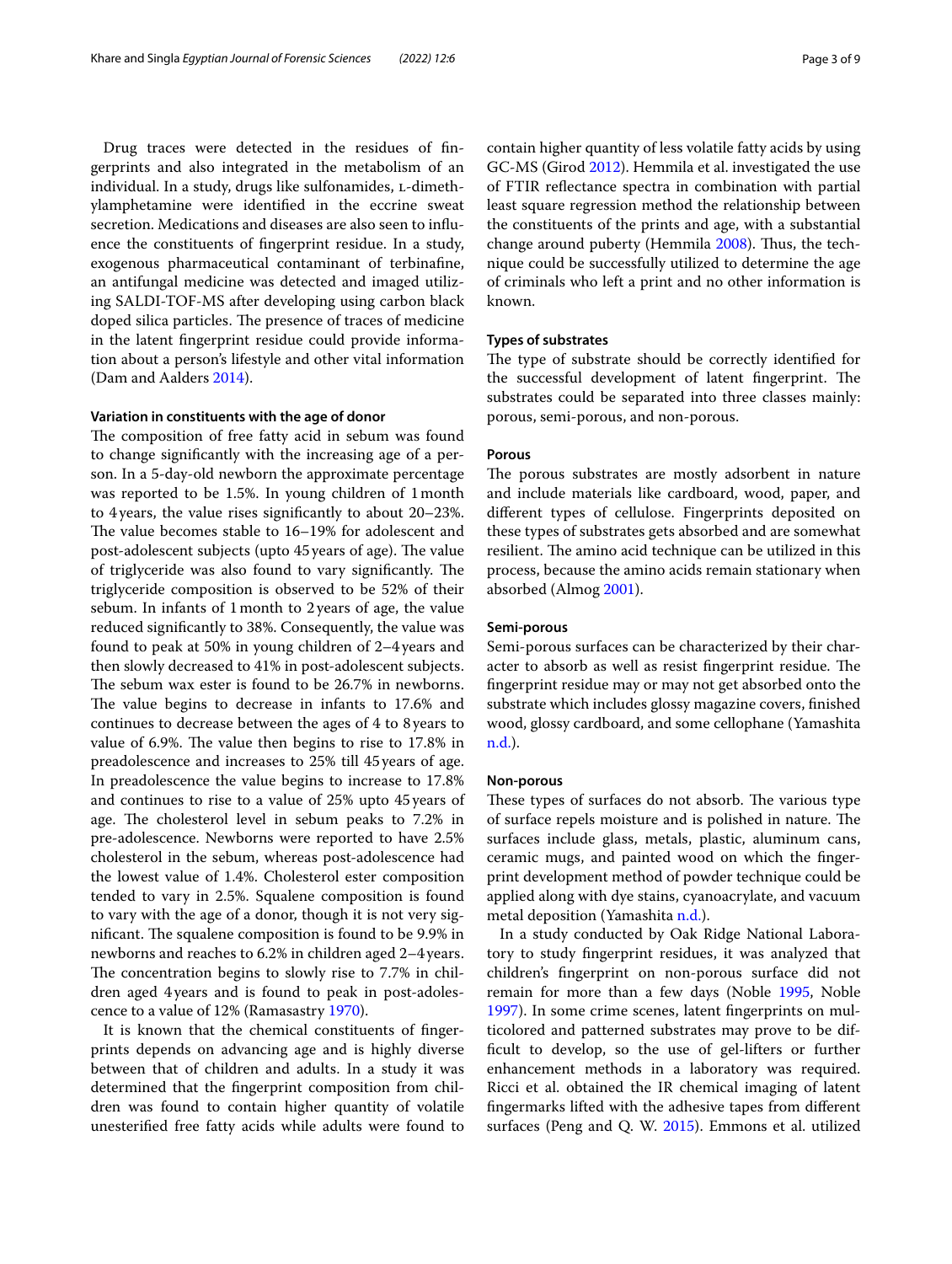Drug traces were detected in the residues of fngerprints and also integrated in the metabolism of an individual. In a study, drugs like sulfonamides, L-dimethylamphetamine were identifed in the eccrine sweat secretion. Medications and diseases are also seen to infuence the constituents of fngerprint residue. In a study, exogenous pharmaceutical contaminant of terbinafne, an antifungal medicine was detected and imaged utilizing SALDI-TOF-MS after developing using carbon black doped silica particles. The presence of traces of medicine in the latent fngerprint residue could provide information about a person's lifestyle and other vital information (Dam and Aalders [2014\)](#page-7-18).

## **Variation in constituents with the age of donor**

The composition of free fatty acid in sebum was found to change signifcantly with the increasing age of a person. In a 5-day-old newborn the approximate percentage was reported to be 1.5%. In young children of 1month to 4years, the value rises signifcantly to about 20–23%. The value becomes stable to 16-19% for adolescent and post-adolescent subjects (upto 45 years of age). The value of triglyceride was also found to vary significantly. The triglyceride composition is observed to be 52% of their sebum. In infants of 1month to 2years of age, the value reduced signifcantly to 38%. Consequently, the value was found to peak at 50% in young children of 2–4years and then slowly decreased to 41% in post-adolescent subjects. The sebum wax ester is found to be 26.7% in newborns. The value begins to decrease in infants to 17.6% and continues to decrease between the ages of 4 to 8years to value of 6.9%. The value then begins to rise to  $17.8\%$  in preadolescence and increases to 25% till 45years of age. In preadolescence the value begins to increase to 17.8% and continues to rise to a value of 25% upto 45years of age. The cholesterol level in sebum peaks to 7.2% in pre-adolescence. Newborns were reported to have 2.5% cholesterol in the sebum, whereas post-adolescence had the lowest value of 1.4%. Cholesterol ester composition tended to vary in 2.5%. Squalene composition is found to vary with the age of a donor, though it is not very significant. The squalene composition is found to be 9.9% in newborns and reaches to 6.2% in children aged 2–4 years. The concentration begins to slowly rise to 7.7% in children aged 4years and is found to peak in post-adolescence to a value of 12% (Ramasastry [1970](#page-8-7)).

It is known that the chemical constituents of fngerprints depends on advancing age and is highly diverse between that of children and adults. In a study it was determined that the fngerprint composition from children was found to contain higher quantity of volatile unesterifed free fatty acids while adults were found to contain higher quantity of less volatile fatty acids by using GC-MS (Girod [2012](#page-7-0)). Hemmila et al. investigated the use of FTIR refectance spectra in combination with partial least square regression method the relationship between the constituents of the prints and age, with a substantial change around puberty (Hemmila [2008\)](#page-7-19). Thus, the technique could be successfully utilized to determine the age of criminals who left a print and no other information is known.

#### **Types of substrates**

The type of substrate should be correctly identified for the successful development of latent fingerprint. The substrates could be separated into three classes mainly: porous, semi-porous, and non-porous.

#### **Porous**

The porous substrates are mostly adsorbent in nature and include materials like cardboard, wood, paper, and diferent types of cellulose. Fingerprints deposited on these types of substrates gets absorbed and are somewhat resilient. The amino acid technique can be utilized in this process, because the amino acids remain stationary when absorbed (Almog [2001](#page-7-20)).

#### **Semi‑porous**

Semi-porous surfaces can be characterized by their character to absorb as well as resist fingerprint residue. The fngerprint residue may or may not get absorbed onto the substrate which includes glossy magazine covers, fnished wood, glossy cardboard, and some cellophane (Yamashita [n.d.\)](#page-8-8).

#### **Non‑porous**

These types of surfaces do not absorb. The various type of surface repels moisture and is polished in nature. The surfaces include glass, metals, plastic, aluminum cans, ceramic mugs, and painted wood on which the fngerprint development method of powder technique could be applied along with dye stains, cyanoacrylate, and vacuum metal deposition (Yamashita [n.d.\)](#page-8-8).

In a study conducted by Oak Ridge National Laboratory to study fngerprint residues, it was analyzed that children's fngerprint on non-porous surface did not remain for more than a few days (Noble [1995,](#page-7-21) Noble [1997](#page-7-22)). In some crime scenes, latent fngerprints on multicolored and patterned substrates may prove to be diffcult to develop, so the use of gel-lifters or further enhancement methods in a laboratory was required. Ricci et al. obtained the IR chemical imaging of latent fngermarks lifted with the adhesive tapes from diferent surfaces (Peng and Q. W. [2015\)](#page-8-9). Emmons et al. utilized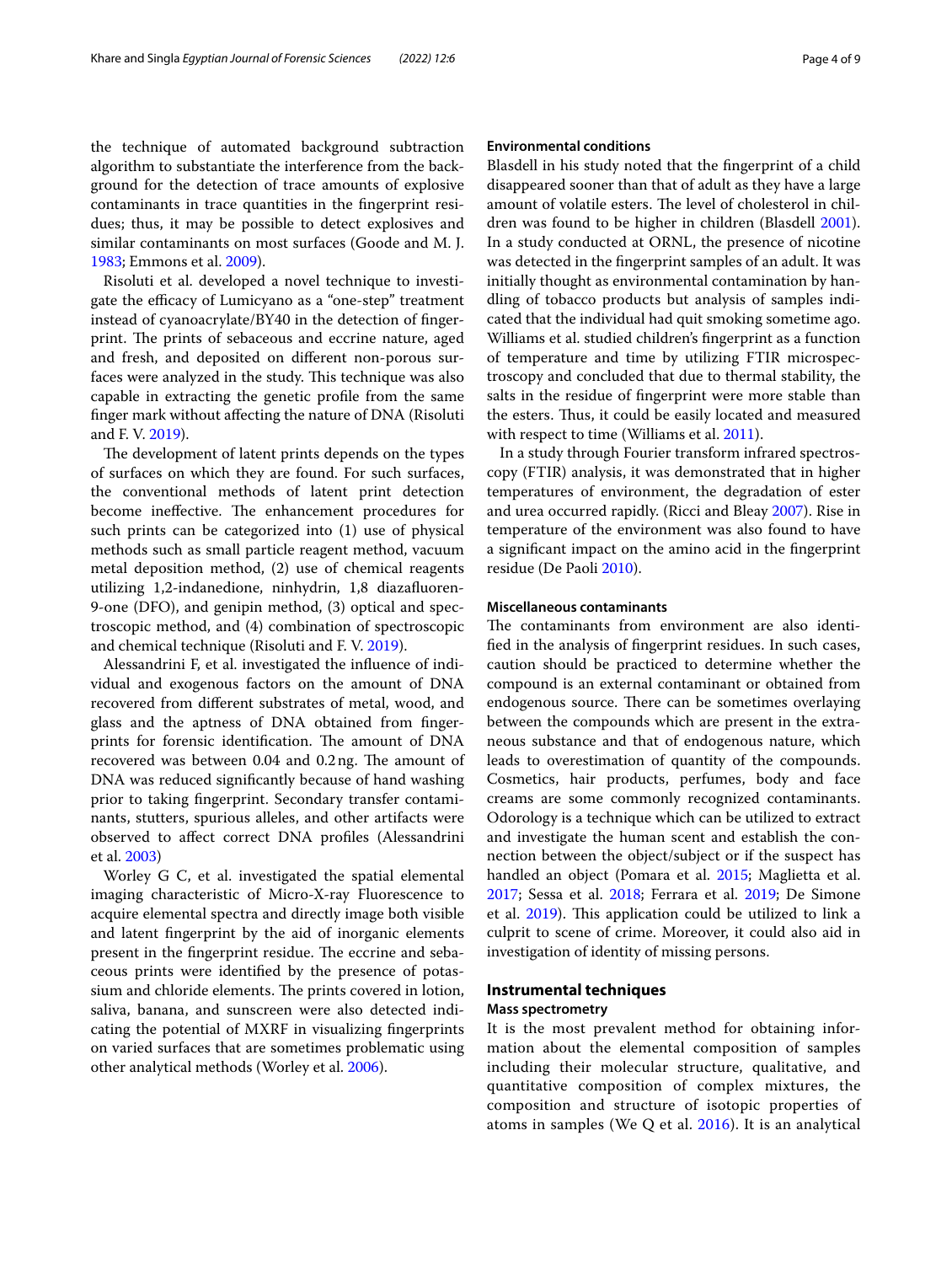the technique of automated background subtraction algorithm to substantiate the interference from the background for the detection of trace amounts of explosive contaminants in trace quantities in the fngerprint residues; thus, it may be possible to detect explosives and similar contaminants on most surfaces (Goode and M. J. [1983](#page-7-23); Emmons et al. [2009\)](#page-7-24).

Risoluti et al. developed a novel technique to investigate the efficacy of Lumicyano as a "one-step" treatment instead of cyanoacrylate/BY40 in the detection of fngerprint. The prints of sebaceous and eccrine nature, aged and fresh, and deposited on diferent non-porous surfaces were analyzed in the study. This technique was also capable in extracting the genetic profle from the same fnger mark without afecting the nature of DNA (Risoluti and F. V. [2019](#page-8-10)).

The development of latent prints depends on the types of surfaces on which they are found. For such surfaces, the conventional methods of latent print detection become ineffective. The enhancement procedures for such prints can be categorized into (1) use of physical methods such as small particle reagent method, vacuum metal deposition method, (2) use of chemical reagents utilizing 1,2-indanedione, ninhydrin, 1,8 diazafuoren-9-one (DFO), and genipin method, (3) optical and spectroscopic method, and (4) combination of spectroscopic and chemical technique (Risoluti and F. V. [2019\)](#page-8-10).

Alessandrini F, et al. investigated the infuence of individual and exogenous factors on the amount of DNA recovered from diferent substrates of metal, wood, and glass and the aptness of DNA obtained from fngerprints for forensic identification. The amount of DNA recovered was between 0.04 and 0.2ng. The amount of DNA was reduced signifcantly because of hand washing prior to taking fngerprint. Secondary transfer contaminants, stutters, spurious alleles, and other artifacts were observed to afect correct DNA profles (Alessandrini et al. [2003\)](#page-7-25)

Worley G C, et al. investigated the spatial elemental imaging characteristic of Micro-X-ray Fluorescence to acquire elemental spectra and directly image both visible and latent fngerprint by the aid of inorganic elements present in the fingerprint residue. The eccrine and sebaceous prints were identifed by the presence of potassium and chloride elements. The prints covered in lotion, saliva, banana, and sunscreen were also detected indicating the potential of MXRF in visualizing fngerprints on varied surfaces that are sometimes problematic using other analytical methods (Worley et al. [2006](#page-8-11)).

#### **Environmental conditions**

Blasdell in his study noted that the fngerprint of a child disappeared sooner than that of adult as they have a large amount of volatile esters. The level of cholesterol in children was found to be higher in children (Blasdell [2001](#page-7-26)). In a study conducted at ORNL, the presence of nicotine was detected in the fngerprint samples of an adult. It was initially thought as environmental contamination by handling of tobacco products but analysis of samples indicated that the individual had quit smoking sometime ago. Williams et al. studied children's fngerprint as a function of temperature and time by utilizing FTIR microspectroscopy and concluded that due to thermal stability, the salts in the residue of fngerprint were more stable than the esters. Thus, it could be easily located and measured with respect to time (Williams et al. [2011](#page-8-4)).

In a study through Fourier transform infrared spectroscopy (FTIR) analysis, it was demonstrated that in higher temperatures of environment, the degradation of ester and urea occurred rapidly. (Ricci and Bleay [2007\)](#page-8-12). Rise in temperature of the environment was also found to have a signifcant impact on the amino acid in the fngerprint residue (De Paoli [2010](#page-7-27)).

#### **Miscellaneous contaminants**

The contaminants from environment are also identifed in the analysis of fngerprint residues. In such cases, caution should be practiced to determine whether the compound is an external contaminant or obtained from endogenous source. There can be sometimes overlaying between the compounds which are present in the extraneous substance and that of endogenous nature, which leads to overestimation of quantity of the compounds. Cosmetics, hair products, perfumes, body and face creams are some commonly recognized contaminants. Odorology is a technique which can be utilized to extract and investigate the human scent and establish the connection between the object/subject or if the suspect has handled an object (Pomara et al. [2015](#page-8-13); Maglietta et al. [2017](#page-7-28); Sessa et al. [2018](#page-8-14); Ferrara et al. [2019;](#page-7-29) De Simone et al. [2019\)](#page-7-30). This application could be utilized to link a culprit to scene of crime. Moreover, it could also aid in investigation of identity of missing persons.

#### **Instrumental techniques**

#### **Mass spectrometry**

It is the most prevalent method for obtaining information about the elemental composition of samples including their molecular structure, qualitative, and quantitative composition of complex mixtures, the composition and structure of isotopic properties of atoms in samples (We Q et al. [2016\)](#page-8-15). It is an analytical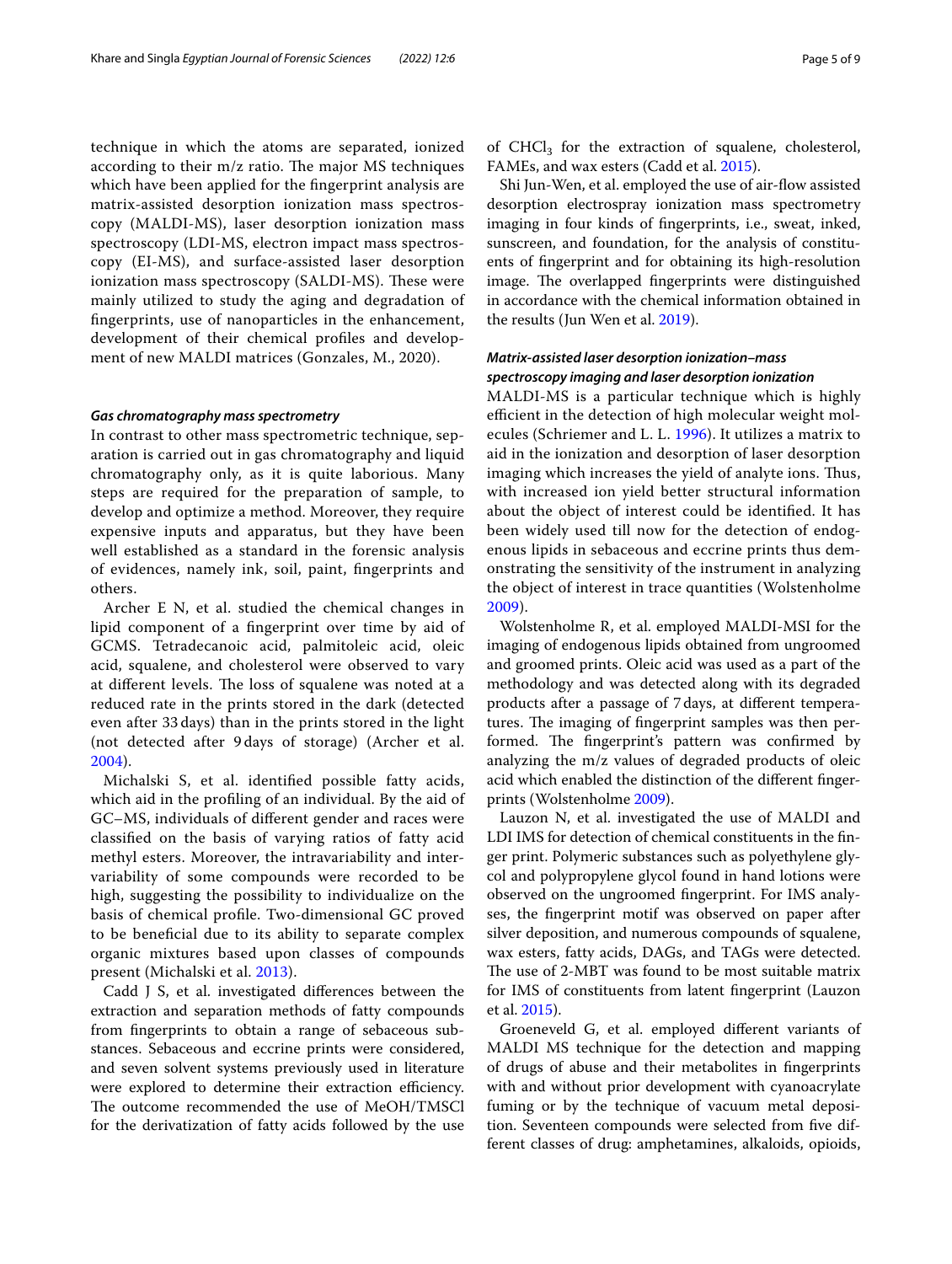technique in which the atoms are separated, ionized according to their  $m/z$  ratio. The major MS techniques which have been applied for the fngerprint analysis are matrix-assisted desorption ionization mass spectroscopy (MALDI-MS), laser desorption ionization mass spectroscopy (LDI-MS, electron impact mass spectroscopy (EI-MS), and surface-assisted laser desorption ionization mass spectroscopy (SALDI-MS). These were mainly utilized to study the aging and degradation of fngerprints, use of nanoparticles in the enhancement, development of their chemical profles and development of new MALDI matrices (Gonzales, M., 2020).

#### *Gas chromatography mass spectrometry*

In contrast to other mass spectrometric technique, separation is carried out in gas chromatography and liquid chromatography only, as it is quite laborious. Many steps are required for the preparation of sample, to develop and optimize a method. Moreover, they require expensive inputs and apparatus, but they have been well established as a standard in the forensic analysis of evidences, namely ink, soil, paint, fngerprints and others.

Archer E N, et al. studied the chemical changes in lipid component of a fngerprint over time by aid of GCMS. Tetradecanoic acid, palmitoleic acid, oleic acid, squalene, and cholesterol were observed to vary at different levels. The loss of squalene was noted at a reduced rate in the prints stored in the dark (detected even after 33 days) than in the prints stored in the light (not detected after 9 days of storage) (Archer et al. [2004\)](#page-7-31).

Michalski S, et al. identifed possible fatty acids, which aid in the profling of an individual. By the aid of GC–MS, individuals of diferent gender and races were classifed on the basis of varying ratios of fatty acid methyl esters. Moreover, the intravariability and intervariability of some compounds were recorded to be high, suggesting the possibility to individualize on the basis of chemical profle. Two-dimensional GC proved to be benefcial due to its ability to separate complex organic mixtures based upon classes of compounds present (Michalski et al. [2013](#page-7-32)).

Cadd J S, et al. investigated diferences between the extraction and separation methods of fatty compounds from fngerprints to obtain a range of sebaceous substances. Sebaceous and eccrine prints were considered, and seven solvent systems previously used in literature were explored to determine their extraction efficiency. The outcome recommended the use of MeOH/TMSCl for the derivatization of fatty acids followed by the use of  $CHCl<sub>3</sub>$  for the extraction of squalene, cholesterol, FAMEs, and wax esters (Cadd et al. [2015\)](#page-7-33).

Shi Jun-Wen, et al. employed the use of air-fow assisted desorption electrospray ionization mass spectrometry imaging in four kinds of fngerprints, i.e., sweat, inked, sunscreen, and foundation, for the analysis of constituents of fngerprint and for obtaining its high-resolution image. The overlapped fingerprints were distinguished in accordance with the chemical information obtained in the results (Jun Wen et al. [2019\)](#page-7-34).

## *Matrix‑assisted laser desorption ionization–mass spectroscopy imaging and laser desorption ionization*

MALDI-MS is a particular technique which is highly efficient in the detection of high molecular weight molecules (Schriemer and L. L. [1996](#page-8-16)). It utilizes a matrix to aid in the ionization and desorption of laser desorption imaging which increases the yield of analyte ions. Thus, with increased ion yield better structural information about the object of interest could be identifed. It has been widely used till now for the detection of endogenous lipids in sebaceous and eccrine prints thus demonstrating the sensitivity of the instrument in analyzing the object of interest in trace quantities (Wolstenholme [2009\)](#page-8-17).

Wolstenholme R, et al. employed MALDI-MSI for the imaging of endogenous lipids obtained from ungroomed and groomed prints. Oleic acid was used as a part of the methodology and was detected along with its degraded products after a passage of 7days, at diferent temperatures. The imaging of fingerprint samples was then performed. The fingerprint's pattern was confirmed by analyzing the m/z values of degraded products of oleic acid which enabled the distinction of the diferent fngerprints (Wolstenholme [2009\)](#page-8-17).

Lauzon N, et al. investigated the use of MALDI and LDI IMS for detection of chemical constituents in the fnger print. Polymeric substances such as polyethylene glycol and polypropylene glycol found in hand lotions were observed on the ungroomed fngerprint. For IMS analyses, the fngerprint motif was observed on paper after silver deposition, and numerous compounds of squalene, wax esters, fatty acids, DAGs, and TAGs were detected. The use of 2-MBT was found to be most suitable matrix for IMS of constituents from latent fngerprint (Lauzon et al. [2015](#page-7-35)).

Groeneveld G, et al. employed diferent variants of MALDI MS technique for the detection and mapping of drugs of abuse and their metabolites in fngerprints with and without prior development with cyanoacrylate fuming or by the technique of vacuum metal deposition. Seventeen compounds were selected from fve different classes of drug: amphetamines, alkaloids, opioids,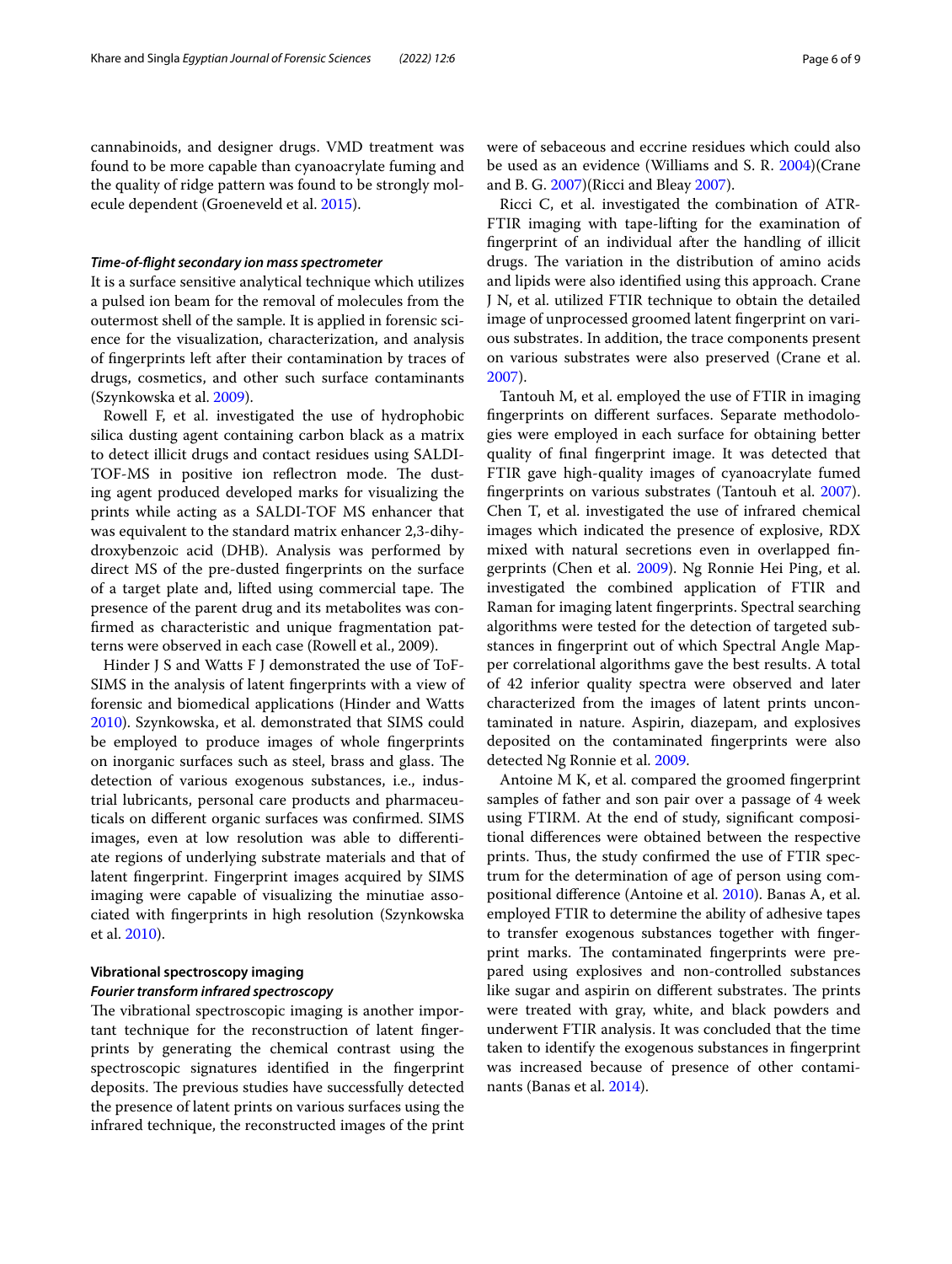cannabinoids, and designer drugs. VMD treatment was found to be more capable than cyanoacrylate fuming and the quality of ridge pattern was found to be strongly molecule dependent (Groeneveld et al. [2015\)](#page-7-36).

#### *Time‑of‑fight secondary ion mass spectrometer*

It is a surface sensitive analytical technique which utilizes a pulsed ion beam for the removal of molecules from the outermost shell of the sample. It is applied in forensic science for the visualization, characterization, and analysis of fngerprints left after their contamination by traces of drugs, cosmetics, and other such surface contaminants (Szynkowska et al. [2009](#page-8-18)).

Rowell F, et al. investigated the use of hydrophobic silica dusting agent containing carbon black as a matrix to detect illicit drugs and contact residues using SALDI-TOF-MS in positive ion reflectron mode. The dusting agent produced developed marks for visualizing the prints while acting as a SALDI-TOF MS enhancer that was equivalent to the standard matrix enhancer 2,3-dihydroxybenzoic acid (DHB). Analysis was performed by direct MS of the pre-dusted fngerprints on the surface of a target plate and, lifted using commercial tape. The presence of the parent drug and its metabolites was confrmed as characteristic and unique fragmentation patterns were observed in each case (Rowell et al., 2009).

Hinder J S and Watts F J demonstrated the use of ToF-SIMS in the analysis of latent fngerprints with a view of forensic and biomedical applications (Hinder and Watts [2010](#page-7-37)). Szynkowska, et al. demonstrated that SIMS could be employed to produce images of whole fngerprints on inorganic surfaces such as steel, brass and glass. The detection of various exogenous substances, i.e., industrial lubricants, personal care products and pharmaceuticals on diferent organic surfaces was confrmed. SIMS images, even at low resolution was able to diferentiate regions of underlying substrate materials and that of latent fngerprint. Fingerprint images acquired by SIMS imaging were capable of visualizing the minutiae associated with fngerprints in high resolution (Szynkowska et al. [2010\)](#page-8-3).

## **Vibrational spectroscopy imaging** *Fourier transform infrared spectroscopy*

The vibrational spectroscopic imaging is another important technique for the reconstruction of latent fngerprints by generating the chemical contrast using the spectroscopic signatures identifed in the fngerprint deposits. The previous studies have successfully detected the presence of latent prints on various surfaces using the infrared technique, the reconstructed images of the print were of sebaceous and eccrine residues which could also be used as an evidence (Williams and S. R. [2004](#page-8-19))(Crane and B. G. [2007](#page-7-38))(Ricci and Bleay [2007\)](#page-8-12).

Ricci C, et al. investigated the combination of ATR-FTIR imaging with tape-lifting for the examination of fngerprint of an individual after the handling of illicit drugs. The variation in the distribution of amino acids and lipids were also identifed using this approach. Crane J N, et al. utilized FTIR technique to obtain the detailed image of unprocessed groomed latent fngerprint on various substrates. In addition, the trace components present on various substrates were also preserved (Crane et al. [2007](#page-7-38)).

Tantouh M, et al. employed the use of FTIR in imaging fngerprints on diferent surfaces. Separate methodologies were employed in each surface for obtaining better quality of fnal fngerprint image. It was detected that FTIR gave high-quality images of cyanoacrylate fumed fngerprints on various substrates (Tantouh et al. [2007](#page-8-20)). Chen T, et al. investigated the use of infrared chemical images which indicated the presence of explosive, RDX mixed with natural secretions even in overlapped fngerprints (Chen et al. [2009](#page-7-39)). Ng Ronnie Hei Ping, et al. investigated the combined application of FTIR and Raman for imaging latent fngerprints. Spectral searching algorithms were tested for the detection of targeted substances in fngerprint out of which Spectral Angle Mapper correlational algorithms gave the best results. A total of 42 inferior quality spectra were observed and later characterized from the images of latent prints uncontaminated in nature. Aspirin, diazepam, and explosives deposited on the contaminated fngerprints were also detected Ng Ronnie et al. [2009](#page-7-40).

Antoine M K, et al. compared the groomed fngerprint samples of father and son pair over a passage of 4 week using FTIRM. At the end of study, signifcant compositional diferences were obtained between the respective prints. Thus, the study confirmed the use of FTIR spectrum for the determination of age of person using compositional diference (Antoine et al. [2010\)](#page-7-41). Banas A, et al. employed FTIR to determine the ability of adhesive tapes to transfer exogenous substances together with fngerprint marks. The contaminated fingerprints were prepared using explosives and non-controlled substances like sugar and aspirin on different substrates. The prints were treated with gray, white, and black powders and underwent FTIR analysis. It was concluded that the time taken to identify the exogenous substances in fngerprint was increased because of presence of other contaminants (Banas et al. [2014\)](#page-7-42).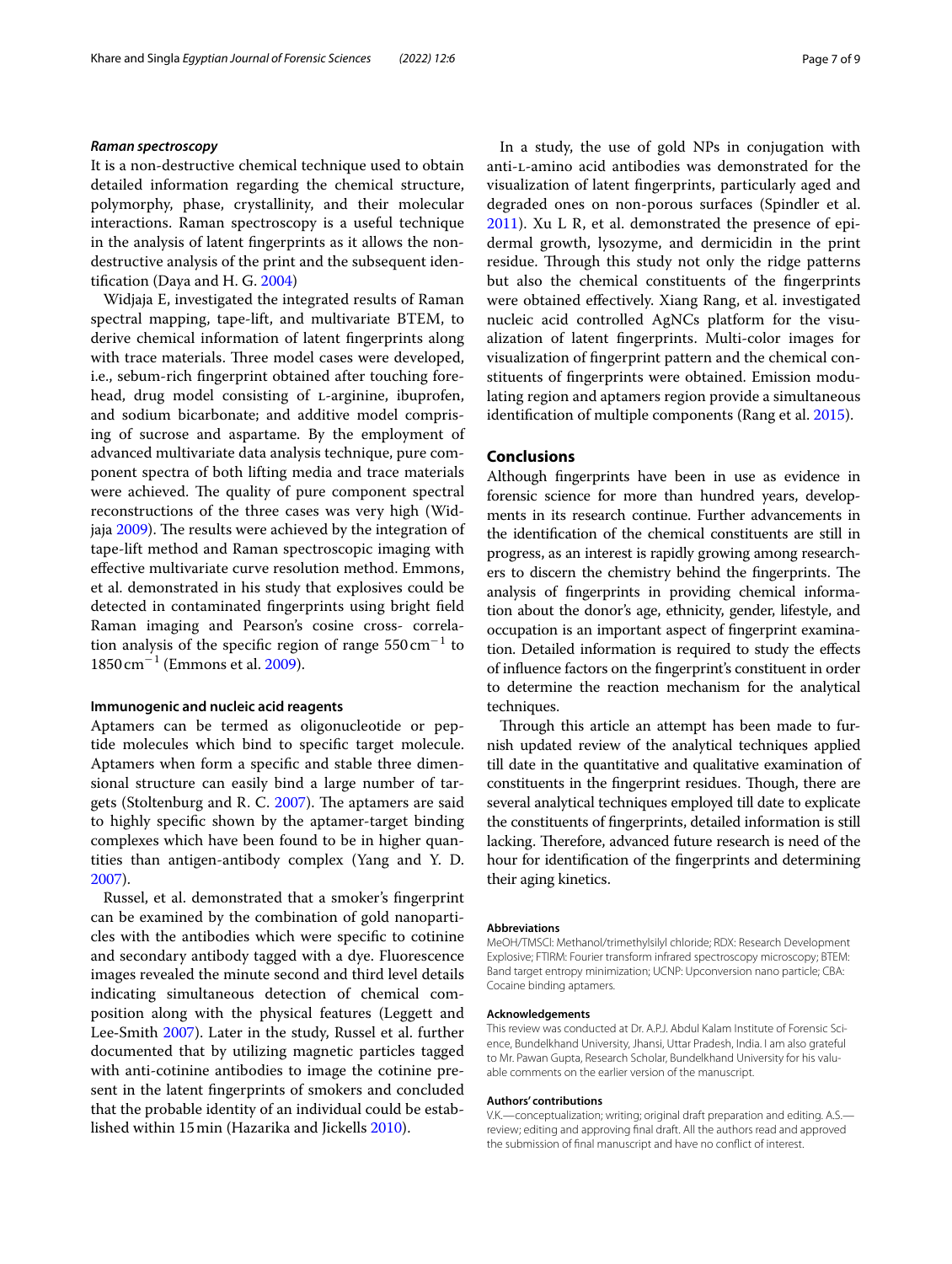#### *Raman spectroscopy*

It is a non-destructive chemical technique used to obtain detailed information regarding the chemical structure, polymorphy, phase, crystallinity, and their molecular interactions. Raman spectroscopy is a useful technique in the analysis of latent fngerprints as it allows the nondestructive analysis of the print and the subsequent identifcation (Daya and H. G. [2004\)](#page-7-43)

Widjaja E, investigated the integrated results of Raman spectral mapping, tape-lift, and multivariate BTEM, to derive chemical information of latent fngerprints along with trace materials. Three model cases were developed, i.e., sebum-rich fngerprint obtained after touching forehead, drug model consisting of *L*-arginine, ibuprofen, and sodium bicarbonate; and additive model comprising of sucrose and aspartame. By the employment of advanced multivariate data analysis technique, pure component spectra of both lifting media and trace materials were achieved. The quality of pure component spectral reconstructions of the three cases was very high (Wid-jaja [2009\)](#page-8-21). The results were achieved by the integration of tape-lift method and Raman spectroscopic imaging with efective multivariate curve resolution method. Emmons, et al. demonstrated in his study that explosives could be detected in contaminated fngerprints using bright feld Raman imaging and Pearson's cosine cross- correlation analysis of the specific region of range  $550 \, \mathrm{cm}^{-1}$  to  $1850 \,\mathrm{cm}^{-1}$  (Emmons et al. [2009](#page-7-24)).

#### **Immunogenic and nucleic acid reagents**

Aptamers can be termed as oligonucleotide or peptide molecules which bind to specifc target molecule. Aptamers when form a specifc and stable three dimensional structure can easily bind a large number of targets (Stoltenburg and R. C.  $2007$ ). The aptamers are said to highly specifc shown by the aptamer-target binding complexes which have been found to be in higher quantities than antigen-antibody complex (Yang and Y. D. [2007](#page-8-23)).

Russel, et al. demonstrated that a smoker's fngerprint can be examined by the combination of gold nanoparticles with the antibodies which were specifc to cotinine and secondary antibody tagged with a dye. Fluorescence images revealed the minute second and third level details indicating simultaneous detection of chemical composition along with the physical features (Leggett and Lee‐Smith [2007\)](#page-7-14). Later in the study, Russel et al. further documented that by utilizing magnetic particles tagged with anti-cotinine antibodies to image the cotinine present in the latent fngerprints of smokers and concluded that the probable identity of an individual could be established within 15min (Hazarika and Jickells [2010\)](#page-7-16).

In a study, the use of gold NPs in conjugation with anti-l-amino acid antibodies was demonstrated for the visualization of latent fngerprints, particularly aged and degraded ones on non-porous surfaces (Spindler et al. [2011](#page-8-24)). Xu L R, et al. demonstrated the presence of epidermal growth, lysozyme, and dermicidin in the print residue. Through this study not only the ridge patterns but also the chemical constituents of the fngerprints were obtained efectively. Xiang Rang, et al. investigated nucleic acid controlled AgNCs platform for the visualization of latent fngerprints. Multi-color images for visualization of fngerprint pattern and the chemical constituents of fngerprints were obtained. Emission modulating region and aptamers region provide a simultaneous identifcation of multiple components (Rang et al. [2015\)](#page-8-25).

## **Conclusions**

Although fngerprints have been in use as evidence in forensic science for more than hundred years, developments in its research continue. Further advancements in the identifcation of the chemical constituents are still in progress, as an interest is rapidly growing among researchers to discern the chemistry behind the fingerprints. The analysis of fngerprints in providing chemical information about the donor's age, ethnicity, gender, lifestyle, and occupation is an important aspect of fngerprint examination. Detailed information is required to study the efects of infuence factors on the fngerprint's constituent in order to determine the reaction mechanism for the analytical techniques.

Through this article an attempt has been made to furnish updated review of the analytical techniques applied till date in the quantitative and qualitative examination of constituents in the fingerprint residues. Though, there are several analytical techniques employed till date to explicate the constituents of fngerprints, detailed information is still lacking. Therefore, advanced future research is need of the hour for identifcation of the fngerprints and determining their aging kinetics.

#### **Abbreviations**

MeOH/TMSCl: Methanol/trimethylsilyl chloride; RDX: Research Development Explosive; FTIRM: Fourier transform infrared spectroscopy microscopy; BTEM: Band target entropy minimization; UCNP: Upconversion nano particle; CBA: Cocaine binding aptamers.

#### **Acknowledgements**

This review was conducted at Dr. A.P.J. Abdul Kalam Institute of Forensic Science, Bundelkhand University, Jhansi, Uttar Pradesh, India. I am also grateful to Mr. Pawan Gupta, Research Scholar, Bundelkhand University for his valuable comments on the earlier version of the manuscript.

#### **Authors' contributions**

V.K.—conceptualization; writing; original draft preparation and editing. A.S. review; editing and approving fnal draft. All the authors read and approved the submission of fnal manuscript and have no confict of interest.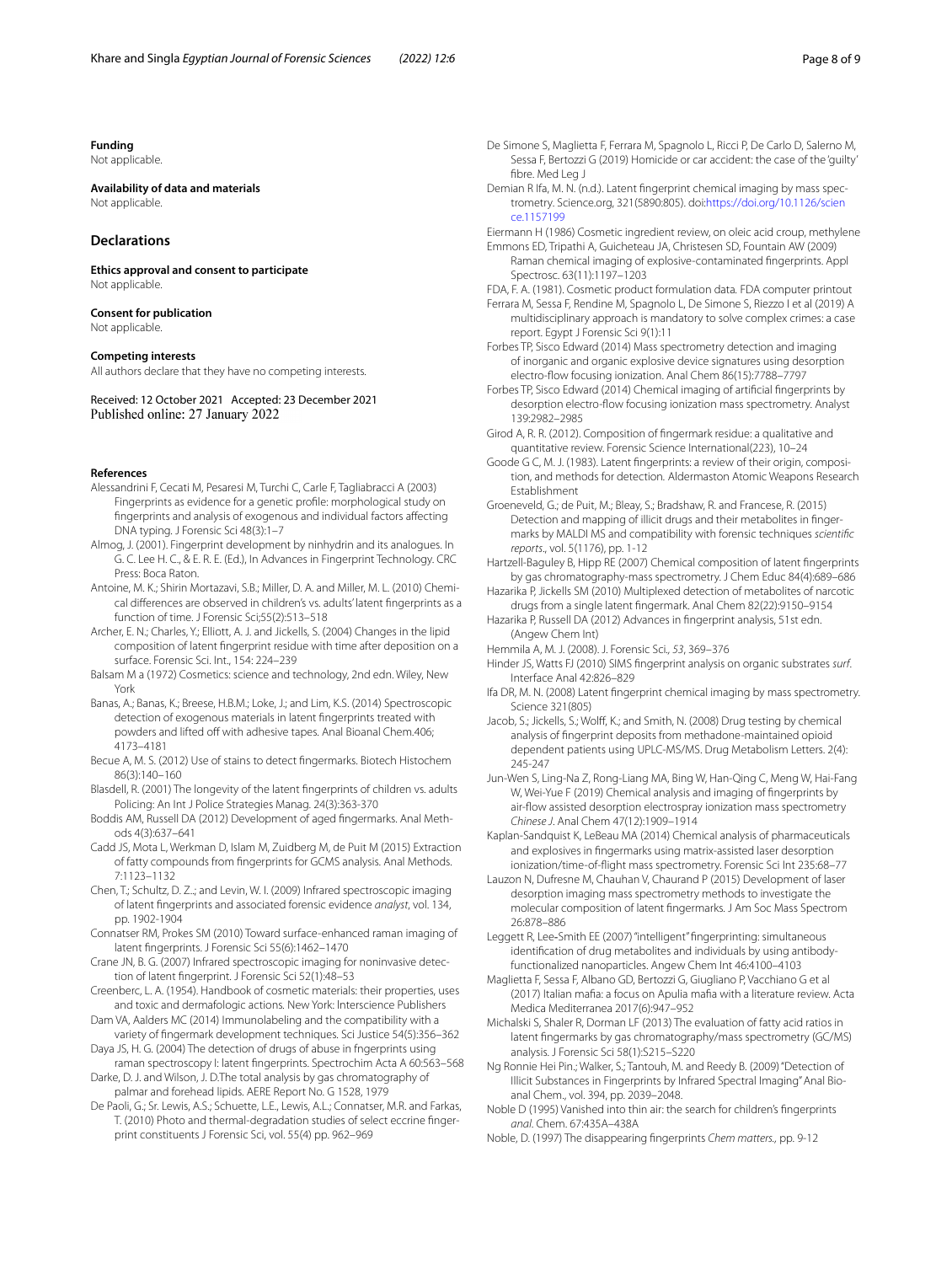#### **Funding**

Not applicable.

## **Availability of data and materials**

Not applicable.

#### **Declarations**

**Ethics approval and consent to participate** Not applicable.

## **Consent for publication**

Not applicable.

#### **Competing interests**

All authors declare that they have no competing interests.

#### Received: 12 October 2021 Accepted: 23 December 2021 Published online: 27 January 2022

#### **References**

- <span id="page-7-25"></span>Alessandrini F, Cecati M, Pesaresi M, Turchi C, Carle F, Tagliabracci A (2003) Fingerprints as evidence for a genetic profle: morphological study on fngerprints and analysis of exogenous and individual factors afecting DNA typing. J Forensic Sci 48(3):1–7
- <span id="page-7-20"></span>Almog, J. (2001). Fingerprint development by ninhydrin and its analogues. In G. C. Lee H. C., & E. R. E. (Ed.), In Advances in Fingerprint Technology. CRC Press: Boca Raton.
- <span id="page-7-41"></span>Antoine, M. K.; Shirin Mortazavi, S.B.; Miller, D. A. and Miller, M. L. (2010) Chemical diferences are observed in children's vs. adults' latent fngerprints as a function of time. J Forensic Sci;55(2):513–518
- <span id="page-7-31"></span>Archer, E. N.; Charles, Y.; Elliott, A. J. and Jickells, S. (2004) Changes in the lipid composition of latent fngerprint residue with time after deposition on a surface. Forensic Sci. Int., 154: 224–239
- <span id="page-7-3"></span>Balsam M a (1972) Cosmetics: science and technology, 2nd edn. Wiley, New York
- <span id="page-7-42"></span>Banas, A.; Banas, K.; Breese, H.B.M.; Loke, J.; and Lim, K.S. (2014) Spectroscopic detection of exogenous materials in latent fngerprints treated with powders and lifted off with adhesive tapes. Anal Bioanal Chem.406; 4173–4181
- <span id="page-7-1"></span>Becue A, M. S. (2012) Use of stains to detect fngermarks. Biotech Histochem 86(3):140–160
- <span id="page-7-26"></span>Blasdell, R. (2001) The longevity of the latent fngerprints of children vs. adults Policing: An Int J Police Strategies Manag. 24(3):363-370
- <span id="page-7-17"></span>Boddis AM, Russell DA (2012) Development of aged fngermarks. Anal Methods 4(3):637–641
- <span id="page-7-33"></span>Cadd JS, Mota L, Werkman D, Islam M, Zuidberg M, de Puit M (2015) Extraction of fatty compounds from fngerprints for GCMS analysis. Anal Methods. 7:1123–1132
- <span id="page-7-39"></span>Chen, T.; Schultz, D. Z..; and Levin, W. I. (2009) Infrared spectroscopic imaging of latent fngerprints and associated forensic evidence *analyst*, vol. 134, pp. 1902-1904
- <span id="page-7-12"></span>Connatser RM, Prokes SM (2010) Toward surface-enhanced raman imaging of latent fngerprints. J Forensic Sci 55(6):1462–1470
- <span id="page-7-38"></span>Crane JN, B. G. (2007) Infrared spectroscopic imaging for noninvasive detection of latent fngerprint. J Forensic Sci 52(1):48–53
- <span id="page-7-5"></span>Creenberc, L. A. (1954). Handbook of cosmetic materials: their properties, uses and toxic and dermafologic actions*.* New York: lnterscience Publishers

<span id="page-7-18"></span>Dam VA, Aalders MC (2014) Immunolabeling and the compatibility with a variety of fngermark development techniques. Sci Justice 54(5):356–362 Daya JS, H. G. (2004) The detection of drugs of abuse in fngerprints using

<span id="page-7-43"></span>raman spectroscopy I: latent fngerprints. Spectrochim Acta A 60:563–568 Darke, D. J. and Wilson, J. D.The total analysis by gas chromatography of

<span id="page-7-7"></span>palmar and forehead lipids. AERE Report No. G 1528, 1979

<span id="page-7-27"></span>De Paoli, G.; Sr. Lewis, A.S.; Schuette, L.E., Lewis, A.L.; Connatser, M.R. and Farkas, T. (2010) Photo and thermal-degradation studies of select eccrine fngerprint constituents J Forensic Sci, vol. 55(4) pp. 962–969

- <span id="page-7-30"></span>De Simone S, Maglietta F, Ferrara M, Spagnolo L, Ricci P, De Carlo D, Salerno M, Sessa F, Bertozzi G (2019) Homicide or car accident: the case of the 'guilty' fibre. Med Leg J
- <span id="page-7-15"></span>Demian R Ifa, M. N. (n.d.). Latent fngerprint chemical imaging by mass spectrometry. Science.org, 321(5890:805). doi:[https://doi.org/10.1126/scien](https://doi.org/10.1126/science.1157199) [ce.1157199](https://doi.org/10.1126/science.1157199)
- <span id="page-7-24"></span><span id="page-7-4"></span>Eiermann H (1986) Cosmetic ingredient review, on oleic acid croup, methylene Emmons ED, Tripathi A, Guicheteau JA, Christesen SD, Fountain AW (2009) Raman chemical imaging of explosive-contaminated fngerprints. Appl
- <span id="page-7-6"></span>Spectrosc. 63(11):1197–1203 FDA, F. A. (1981). Cosmetic product formulation data*.* FDA computer printout
- <span id="page-7-29"></span>Ferrara M, Sessa F, Rendine M, Spagnolo L, De Simone S, Riezzo I et al (2019) A multidisciplinary approach is mandatory to solve complex crimes: a case report. Egypt J Forensic Sci 9(1):11
- <span id="page-7-9"></span>Forbes TP, Sisco Edward (2014) Mass spectrometry detection and imaging of inorganic and organic explosive device signatures using desorption electro-fow focusing ionization. Anal Chem 86(15):7788–7797
- <span id="page-7-10"></span>Forbes TP, Sisco Edward (2014) Chemical imaging of artifcial fngerprints by desorption electro-fow focusing ionization mass spectrometry. Analyst 139:2982–2985
- <span id="page-7-0"></span>Girod A, R. R. (2012). Composition of fngermark residue: a qualitative and quantitative review. Forensic Science International(223), 10–24
- <span id="page-7-23"></span>Goode G C, M. J. (1983). Latent fngerprints: a review of their origin, composition, and methods for detection*.* Aldermaston Atomic Weapons Research Establishment
- <span id="page-7-36"></span>Groeneveld, G.; de Puit, M.; Bleay, S.; Bradshaw, R. and Francese, R. (2015) Detection and mapping of illicit drugs and their metabolites in fingermarks by MALDI MS and compatibility with forensic techniques *scientifc reports*., vol. 5(1176), pp. 1-12
- <span id="page-7-13"></span>Hartzell-Baguley B, Hipp RE (2007) Chemical composition of latent fngerprints by gas chromatography-mass spectrometry. J Chem Educ 84(4):689–686
- <span id="page-7-16"></span>Hazarika P, Jickells SM (2010) Multiplexed detection of metabolites of narcotic drugs from a single latent fngermark. Anal Chem 82(22):9150–9154
- <span id="page-7-2"></span>Hazarika P, Russell DA (2012) Advances in fngerprint analysis, 51st edn. (Angew Chem Int)

<span id="page-7-19"></span>Hemmila A, M. J. (2008). J. Forensic Sci*., 53*, 369–376

- <span id="page-7-37"></span>Hinder JS, Watts FJ (2010) SIMS fngerprint analysis on organic substrates *surf*. Interface Anal 42:826–829
- <span id="page-7-8"></span>Ifa DR, M. N. (2008) Latent fngerprint chemical imaging by mass spectrometry. Science 321(805)
- Jacob, S.; Jickells, S.; Wolff, K.; and Smith, N. (2008) Drug testing by chemical analysis of fngerprint deposits from methadone-maintained opioid dependent patients using UPLC-MS/MS. Drug Metabolism Letters. 2(4): 245-247
- <span id="page-7-34"></span>Jun-Wen S, Ling-Na Z, Rong-Liang MA, Bing W, Han-Qing C, Meng W, Hai-Fang W. Wei-Yue F (2019) Chemical analysis and imaging of fingerprints by air-fow assisted desorption electrospray ionization mass spectrometry *Chinese J*. Anal Chem 47(12):1909–1914
- <span id="page-7-11"></span>Kaplan-Sandquist K, LeBeau MA (2014) Chemical analysis of pharmaceuticals and explosives in fngermarks using matrix-assisted laser desorption ionization/time-of-fight mass spectrometry. Forensic Sci Int 235:68–77
- <span id="page-7-35"></span>Lauzon N, Dufresne M, Chauhan V, Chaurand P (2015) Development of laser desorption imaging mass spectrometry methods to investigate the molecular composition of latent fngermarks. J Am Soc Mass Spectrom 26:878–886

<span id="page-7-14"></span>Leggett R, Lee‐Smith EE (2007) "intelligent" fngerprinting: simultaneous identifcation of drug metabolites and individuals by using antibodyfunctionalized nanoparticles. Angew Chem Int 46:4100–4103

<span id="page-7-28"></span>Maglietta F, Sessa F, Albano GD, Bertozzi G, Giugliano P, Vacchiano G et al (2017) Italian mafa: a focus on Apulia mafa with a literature review. Acta Medica Mediterranea 2017(6):947–952

- <span id="page-7-32"></span>Michalski S, Shaler R, Dorman LF (2013) The evaluation of fatty acid ratios in latent fngermarks by gas chromatography/mass spectrometry (GC/MS) analysis. J Forensic Sci 58(1):S215–S220
- <span id="page-7-40"></span>Ng Ronnie Hei Pin.; Walker, S.; Tantouh, M. and Reedy B. (2009) "Detection of Illicit Substances in Fingerprints by Infrared Spectral Imaging" Anal Bioanal Chem., vol. 394, pp. 2039–2048.
- <span id="page-7-21"></span>Noble D (1995) Vanished into thin air: the search for children's fngerprints *anal*. Chem. 67:435A–438A

<span id="page-7-22"></span>Noble, D. (1997) The disappearing fngerprints *Chem matters.,* pp. 9-12